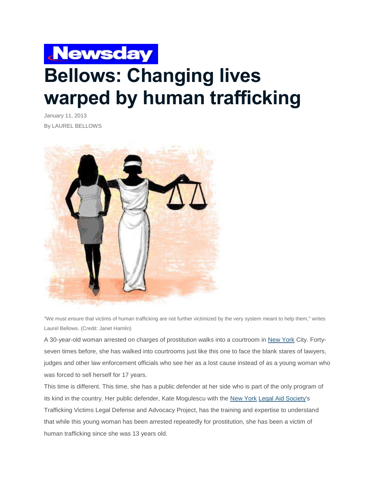## **Newsday Bellows: Changing lives warped by human trafficking**

January 11, 2013 By LAUREL BELLOWS



"We must ensure that victims of human trafficking are not further victimized by the very system meant to help them," writes Laurel Bellows. (Credit: Janet Hamlin)

A 30-year-old woman arrested on charges of prostitution walks into a courtroom in New [York](http://www.newsday.com/topics/New_York_(state)) City. Fortyseven times before, she has walked into courtrooms just like this one to face the blank stares of lawyers, judges and other law enforcement officials who see her as a lost cause instead of as a young woman who was forced to sell herself for 17 years.

This time is different. This time, she has a public defender at her side who is part of the only program of its kind in the country. Her public defender, Kate Mogulescu with the New [York](http://www.newsday.com/topics/New_York_(state)) Legal Aid [Society's](http://www.newsday.com/topics/Legal_Aid_Society) Trafficking Victims Legal Defense and Advocacy Project, has the training and expertise to understand that while this young woman has been arrested repeatedly for prostitution, she has been a victim of human trafficking since she was 13 years old.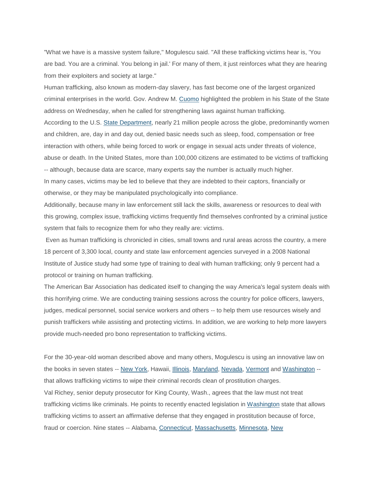"What we have is a massive system failure," Mogulescu said. "All these trafficking victims hear is, 'You are bad. You are a criminal. You belong in jail.' For many of them, it just reinforces what they are hearing from their exploiters and society at large."

Human trafficking, also known as modern-day slavery, has fast become one of the largest organized criminal enterprises in the world. Gov. Andrew M. [Cuomo](http://www.newsday.com/topics/Andrew_Cuomo) highlighted the problem in his State of the State address on Wednesday, when he called for strengthening laws against human trafficking. According to the U.S. State [Department,](http://www.newsday.com/topics/US_State_Department) nearly 21 million people across the globe, predominantly women and children, are, day in and day out, denied basic needs such as sleep, food, compensation or free interaction with others, while being forced to work or engage in sexual acts under threats of violence, abuse or death. In the United States, more than 100,000 citizens are estimated to be victims of trafficking -- although, because data are scarce, many experts say the number is actually much higher. In many cases, victims may be led to believe that they are indebted to their captors, financially or otherwise, or they may be manipulated psychologically into compliance.

Additionally, because many in law enforcement still lack the skills, awareness or resources to deal with this growing, complex issue, trafficking victims frequently find themselves confronted by a criminal justice system that fails to recognize them for who they really are: victims.

Even as human trafficking is chronicled in cities, small towns and rural areas across the country, a mere 18 percent of 3,300 local, county and state law enforcement agencies surveyed in a 2008 National Institute of Justice study had some type of training to deal with human trafficking; only 9 percent had a protocol or training on human trafficking.

The American Bar Association has dedicated itself to changing the way America's legal system deals with this horrifying crime. We are conducting training sessions across the country for police officers, lawyers, judges, medical personnel, social service workers and others -- to help them use resources wisely and punish traffickers while assisting and protecting victims. In addition, we are working to help more lawyers provide much-needed pro bono representation to trafficking victims.

For the 30-year-old woman described above and many others, Mogulescu is using an innovative law on the books in seven states -- New [York,](http://www.newsday.com/topics/New_York_(state)) Hawaii, [Illinois,](http://www.newsday.com/topics/Illinois) [Maryland,](http://www.newsday.com/topics/Maryland) [Nevada,](http://www.newsday.com/topics/Nevada) [Vermont](http://www.newsday.com/topics/Vermont) and [Washington](http://www.newsday.com/topics/Washington) -that allows trafficking victims to wipe their criminal records clean of prostitution charges. Val Richey, senior deputy prosecutor for King County, Wash., agrees that the law must not treat trafficking victims like criminals. He points to recently enacted legislation in [Washington](http://www.newsday.com/topics/Washington) state that allows trafficking victims to assert an affirmative defense that they engaged in prostitution because of force, fraud or coercion. Nine states -- Alabama, [Connecticut,](http://www.newsday.com/topics/Connecticut) [Massachusetts,](http://www.newsday.com/topics/Massachusetts) [Minnesota,](http://www.newsday.com/topics/Minnesota) [New](http://www.newsday.com/topics/New_Jersey)